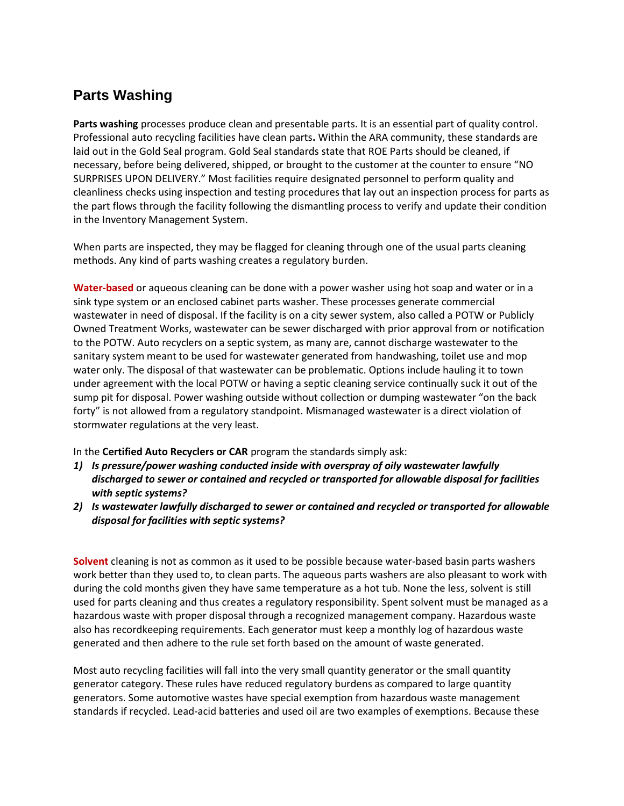## **Parts Washing**

**Parts washing** processes produce clean and presentable parts. It is an essential part of quality control. Professional auto recycling facilities have clean parts**.** Within the ARA community, these standards are laid out in the Gold Seal program. Gold Seal standards state that ROE Parts should be cleaned, if necessary, before being delivered, shipped, or brought to the customer at the counter to ensure "NO SURPRISES UPON DELIVERY." Most facilities require designated personnel to perform quality and cleanliness checks using inspection and testing procedures that lay out an inspection process for parts as the part flows through the facility following the dismantling process to verify and update their condition in the Inventory Management System.

When parts are inspected, they may be flagged for cleaning through one of the usual parts cleaning methods. Any kind of parts washing creates a regulatory burden.

**Water-based** or aqueous cleaning can be done with a power washer using hot soap and water or in a sink type system or an enclosed cabinet parts washer. These processes generate commercial wastewater in need of disposal. If the facility is on a city sewer system, also called a POTW or Publicly Owned Treatment Works, wastewater can be sewer discharged with prior approval from or notification to the POTW. Auto recyclers on a septic system, as many are, cannot discharge wastewater to the sanitary system meant to be used for wastewater generated from handwashing, toilet use and mop water only. The disposal of that wastewater can be problematic. Options include hauling it to town under agreement with the local POTW or having a septic cleaning service continually suck it out of the sump pit for disposal. Power washing outside without collection or dumping wastewater "on the back forty" is not allowed from a regulatory standpoint. Mismanaged wastewater is a direct violation of stormwater regulations at the very least.

In the **Certified Auto Recyclers or CAR** program the standards simply ask:

- *1) Is pressure/power washing conducted inside with overspray of oily wastewater lawfully discharged to sewer or contained and recycled or transported for allowable disposal for facilities with septic systems?*
- *2) Is wastewater lawfully discharged to sewer or contained and recycled or transported for allowable disposal for facilities with septic systems?*

**Solvent** cleaning is not as common as it used to be possible because water-based basin parts washers work better than they used to, to clean parts. The aqueous parts washers are also pleasant to work with during the cold months given they have same temperature as a hot tub. None the less, solvent is still used for parts cleaning and thus creates a regulatory responsibility. Spent solvent must be managed as a hazardous waste with proper disposal through a recognized management company. Hazardous waste also has recordkeeping requirements. Each generator must keep a monthly log of hazardous waste generated and then adhere to the rule set forth based on the amount of waste generated.

Most auto recycling facilities will fall into the very small quantity generator or the small quantity generator category. These rules have reduced regulatory burdens as compared to large quantity generators. Some automotive wastes have special exemption from hazardous waste management standards if recycled. Lead-acid batteries and used oil are two examples of exemptions. Because these